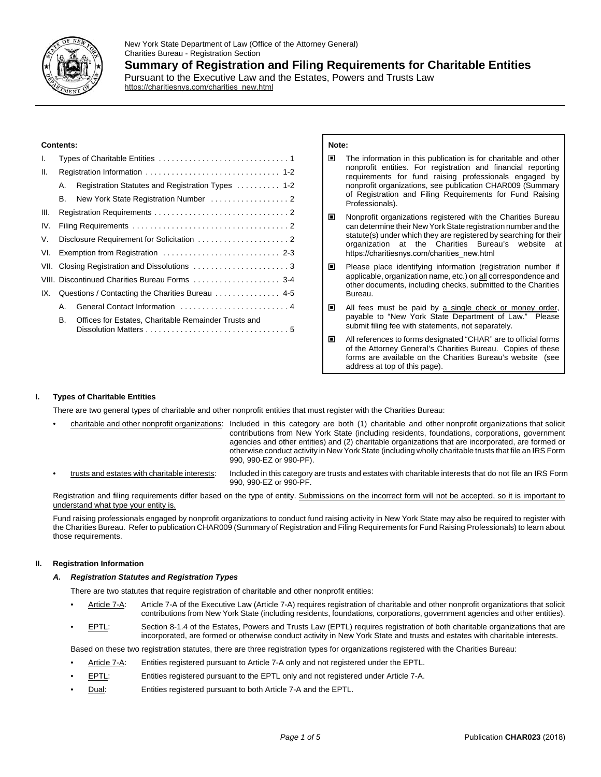

## **Contents:**

| I.   |                                                  |                                                      |
|------|--------------------------------------------------|------------------------------------------------------|
| Ш.   |                                                  |                                                      |
|      | А.                                               | Registration Statutes and Registration Types  1-2    |
|      | В.                                               |                                                      |
| III. |                                                  |                                                      |
| IV.  |                                                  |                                                      |
| V.   |                                                  |                                                      |
| VI.  |                                                  |                                                      |
|      | VII. Closing Registration and Dissolutions 3     |                                                      |
|      | VIII. Discontinued Charities Bureau Forms  3-4   |                                                      |
| IX.  | Questions / Contacting the Charities Bureau  4-5 |                                                      |
|      | $A_{1}$                                          | General Contact Information  4                       |
|      | В.                                               | Offices for Estates, Charitable Remainder Trusts and |

https://charitiesnys.com/charities\_new.html

## **Note:**

- $\Box$  The information in this publication is for charitable and other nonprofit entities. For registration and financial reporting requirements for fund raising professionals engaged by nonprofit organizations, see publication CHAR009 (Summary of Registration and Filing Requirements for Fund Raising Professionals).
- Nonprofit organizations registered with the Charities Bureau can determine their New York State registration number and the statute(s) under which they are registered by searching for their organization at the Charities Bureau's website at https://charitiesnys.com/charities\_new.html
- $\blacksquare$  Please place identifying information (registration number if applicable, organization name, etc.) on all correspondence and other documents, including checks, submitted to the Charities Bureau.
- **E** All fees must be paid by a single check or money order, payable to "New York State Department of Law." Please payable to "New York State Department of Law." submit filing fee with statements, not separately.
- All references to forms designated "CHAR" are to official forms of the Attorney General's Charities Bureau. Copies of these forms are available on the Charities Bureau's website (see address at top of this page).

# **I. Types of Charitable Entities**

There are two general types of charitable and other nonprofit entities that must register with the Charities Bureau:

- charitable and other nonprofit organizations: Included in this category are both (1) charitable and other nonprofit organizations that solicit contributions from New York State (including residents, foundations, corporations, government agencies and other entities) and (2) charitable organizations that are incorporated, are formed or otherwise conduct activity in New York State (including wholly charitable trusts that file an IRS Form 990, 990-EZ or 990-PF).
- trusts and estates with charitable interests: lncluded in this category are trusts and estates with charitable interests that do not file an IRS Form 990, 990-EZ or 990-PF.

Registration and filing requirements differ based on the type of entity. Submissions on the incorrect form will not be accepted, so it is important to understand what type your entity is.

Fund raising professionals engaged by nonprofit organizations to conduct fund raising activity in New York State may also be required to register with the Charities Bureau. Refer to publication CHAR009 (Summary of Registration and Filing Requirements for Fund Raising Professionals) to learn about those requirements.

# **II. Registration Information**

## *A. Registration Statutes and Registration Types*

There are two statutes that require registration of charitable and other nonprofit entities:

- Article 7-A: Article 7-A of the Executive Law (Article 7-A) requires registration of charitable and other nonprofit organizations that solicit contributions from New York State (including residents, foundations, corporations, government agencies and other entities).
- EPTL: Section 8-1.4 of the Estates, Powers and Trusts Law (EPTL) requires registration of both charitable organizations that are incorporated, are formed or otherwise conduct activity in New York State and trusts and estates with charitable interests.

Based on these two registration statutes, there are three registration types for organizations registered with the Charities Bureau:

- Article 7-A: Entities registered pursuant to Article 7-A only and not registered under the EPTL.
- EPTL: Entities registered pursuant to the EPTL only and not registered under Article 7-A.
- Dual: Entities registered pursuant to both Article 7-A and the EPTL.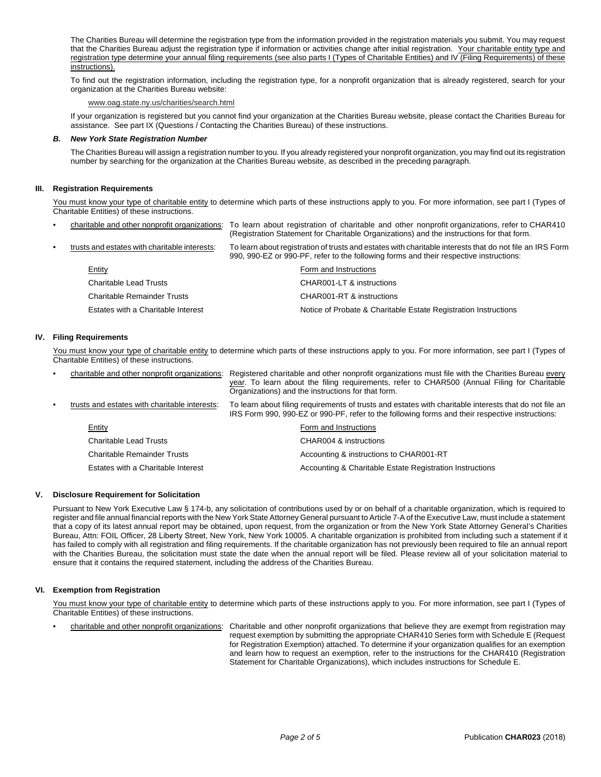The Charities Bureau will determine the registration type from the information provided in the registration materials you submit. You may request that the Charities Bureau adjust the registration type if information or activities change after initial registration. Your charitable entity type and registration type determine your annual filing requirements (see also parts I (Types of Charitable Entities) and IV (Filing Requirements) of these instructions).

To find out the registration information, including the registration type, for a nonprofit organization that is already registered, search for your organization at the Charities Bureau website:

## www.oag.state.ny.us/charities/search.html

If your organization is registered but you cannot find your organization at the Charities Bureau website, please contact the Charities Bureau for assistance. See part IX (Questions / Contacting the Charities Bureau) of these instructions.

### *B. New York State Registration Number*

The Charities Bureau will assign a registration number to you. If you already registered your nonprofit organization, you may find out its registration number by searching for the organization at the Charities Bureau website, as described in the preceding paragraph.

### **III. Registration Requirements**

You must know your type of charitable entity to determine which parts of these instructions apply to you. For more information, see part I (Types of Charitable Entities) of these instructions.

| $\bullet$                                                                                                                                            |                               | charitable and other nonprofit organizations: To learn about registration of charitable and other nonprofit organizations, refer to CHAR410<br>(Registration Statement for Charitable Organizations) and the instructions for that form. |
|------------------------------------------------------------------------------------------------------------------------------------------------------|-------------------------------|------------------------------------------------------------------------------------------------------------------------------------------------------------------------------------------------------------------------------------------|
| trusts and estates with charitable interests:<br>$\bullet$<br>990, 990-EZ or 990-PF, refer to the following forms and their respective instructions: |                               | To learn about registration of trusts and estates with charitable interests that do not file an IRS Form                                                                                                                                 |
|                                                                                                                                                      | Entity                        | Form and Instructions                                                                                                                                                                                                                    |
|                                                                                                                                                      | <b>Charitable Lead Trusts</b> | CHAR001-LT & instructions                                                                                                                                                                                                                |
|                                                                                                                                                      | Charitable Remainder Trusts   | CHAR001-RT & instructions                                                                                                                                                                                                                |
|                                                                                                                                                      |                               |                                                                                                                                                                                                                                          |

Estates with a Charitable Interest Notice of Probate & Charitable Estate Registration Instructions

### **IV. Filing Requirements**

You must know your type of charitable entity to determine which parts of these instructions apply to you. For more information, see part I (Types of Charitable Entities) of these instructions.

| $\bullet$ | charitable and other nonprofit organizations: | Registered charitable and other nonprofit organizations must file with the Charities Bureau every<br>year. To learn about the filing requirements, refer to CHAR500 (Annual Filing for Charitable<br>Organizations) and the instructions for that form. |
|-----------|-----------------------------------------------|---------------------------------------------------------------------------------------------------------------------------------------------------------------------------------------------------------------------------------------------------------|
| $\bullet$ | trusts and estates with charitable interests: | To learn about filing requirements of trusts and estates with charitable interests that do not file an<br>IRS Form 990, 990-EZ or 990-PF, refer to the following forms and their respective instructions:                                               |
|           | Entity                                        | Form and Instructions                                                                                                                                                                                                                                   |
|           | Charitable Lead Trusts                        | CHAR004 & instructions                                                                                                                                                                                                                                  |
|           | <b>Charitable Remainder Trusts</b>            | Accounting & instructions to CHAR001-RT                                                                                                                                                                                                                 |
|           | Estates with a Charitable Interest            | Accounting & Charitable Estate Registration Instructions                                                                                                                                                                                                |

### **V. Disclosure Requirement for Solicitation**

Pursuant to New York Executive Law § 174-b, any solicitation of contributions used by or on behalf of a charitable organization, which is required to register and file annual financial reports with the New York State Attorney General pursuant to Article 7-A of the Executive Law, must include a statement that a copy of its latest annual report may be obtained, upon request, from the organization or from the New York State Attorney General's Charities Bureau, Attn: FOIL Officer, 28 Liberty Street, New York, New York 10005. A charitable organization is prohibited from including such a statement if it has failed to comply with all registration and filing requirements. If the charitable organization has not previously been required to file an annual report with the Charities Bureau, the solicitation must state the date when the annual report will be filed. Please review all of your solicitation material to ensure that it contains the required statement, including the address of the Charities Bureau.

### **VI. Exemption from Registration**

You must know your type of charitable entity to determine which parts of these instructions apply to you. For more information, see part I (Types of Charitable Entities) of these instructions.

charitable and other nonprofit organizations: Charitable and other nonprofit organizations that believe they are exempt from registration may request exemption by submitting the appropriate CHAR410 Series form with Schedule E (Request for Registration Exemption) attached. To determine if your organization qualifies for an exemption and learn how to request an exemption, refer to the instructions for the CHAR410 (Registration

Statement for Charitable Organizations), which includes instructions for Schedule E.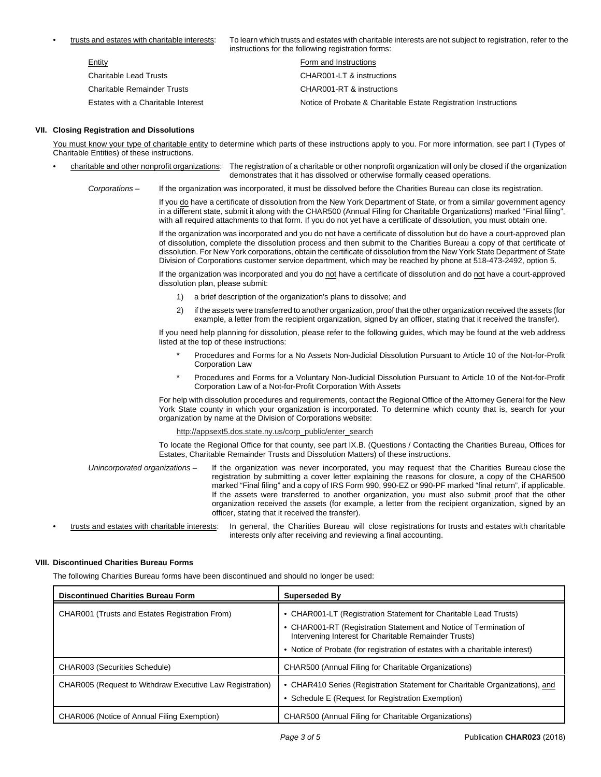• trusts and estates with charitable interests: To learn which trusts and estates with charitable interests are not subject to registration, refer to the instructions for the following registration forms:

| <b>INSURGIOUS TOF LITE TOROWING TEGRSUALION TOTING.</b> |                                                                 |  |  |
|---------------------------------------------------------|-----------------------------------------------------------------|--|--|
| <b>Entity</b>                                           | Form and Instructions                                           |  |  |
| <b>Charitable Lead Trusts</b>                           | CHAR001-LT & instructions                                       |  |  |
| <b>Charitable Remainder Trusts</b>                      | CHAR001-RT & instructions                                       |  |  |
| Estates with a Charitable Interest                      | Notice of Probate & Charitable Estate Registration Instructions |  |  |

### **VII. Closing Registration and Dissolutions**

You must know your type of charitable entity to determine which parts of these instructions apply to you. For more information, see part I (Types of Charitable Entities) of these instructions.

- charitable and other nonprofit organizations: The registration of a charitable or other nonprofit organization will only be closed if the organization demonstrates that it has dissolved or otherwise formally ceased operations.
	- *Corporations –* If the organization was incorporated, it must be dissolved before the Charities Bureau can close its registration.

If you do have a certificate of dissolution from the New York Department of State, or from a similar government agency in a different state, submit it along with the CHAR500 (Annual Filing for Charitable Organizations) marked "Final filing", with all required attachments to that form. If you do not yet have a certificate of dissolution, you must obtain one.

If the organization was incorporated and you do not have a certificate of dissolution but do have a court-approved plan of dissolution, complete the dissolution process and then submit to the Charities Bureau a copy of that certificate of dissolution. For New York corporations, obtain the certificate of dissolution from the New York State Department of State Division of Corporations customer service department, which may be reached by phone at 518-473-2492, option 5.

If the organization was incorporated and you do not have a certificate of dissolution and do not have a court-approved dissolution plan, please submit:

- 1) a brief description of the organization's plans to dissolve; and
- 2) if the assets were transferred to another organization, proof that the other organization received the assets (for example, a letter from the recipient organization, signed by an officer, stating that it received the transfer).

If you need help planning for dissolution, please refer to the following guides, which may be found at the web address listed at the top of these instructions:

- Procedures and Forms for a No Assets Non-Judicial Dissolution Pursuant to Article 10 of the Not-for-Profit Corporation Law
- Procedures and Forms for a Voluntary Non-Judicial Dissolution Pursuant to Article 10 of the Not-for-Profit Corporation Law of a Not-for-Profit Corporation With Assets

For help with dissolution procedures and requirements, contact the Regional Office of the Attorney General for the New York State county in which your organization is incorporated. To determine which county that is, search for your organization by name at the Division of Corporations website:

### http://appsext5.dos.state.ny.us/corp\_public/enter\_search

To locate the Regional Office for that county, see part IX.B. (Questions / Contacting the Charities Bureau, Offices for Estates, Charitable Remainder Trusts and Dissolution Matters) of these instructions.

- *Unincorporated organizations –* If the organization was never incorporated, you may request that the Charities Bureau close the registration by submitting a cover letter explaining the reasons for closure, a copy of the CHAR500 marked "Final filing" and a copy of IRS Form 990, 990-EZ or 990-PF marked "final return", if applicable. If the assets were transferred to another organization, you must also submit proof that the other organization received the assets (for example, a letter from the recipient organization, signed by an officer, stating that it received the transfer).
- trusts and estates with charitable interests: In general, the Charities Bureau will close registrations for trusts and estates with charitable interests only after receiving and reviewing a final accounting.

## **VIII. Discontinued Charities Bureau Forms**

The following Charities Bureau forms have been discontinued and should no longer be used:

| <b>Discontinued Charities Bureau Form</b>                | <b>Superseded By</b>                                                                                                                                                                                                                                                           |
|----------------------------------------------------------|--------------------------------------------------------------------------------------------------------------------------------------------------------------------------------------------------------------------------------------------------------------------------------|
| CHAR001 (Trusts and Estates Registration From)           | • CHAR001-LT (Registration Statement for Charitable Lead Trusts)<br>• CHAR001-RT (Registration Statement and Notice of Termination of<br>Intervening Interest for Charitable Remainder Trusts)<br>• Notice of Probate (for registration of estates with a charitable interest) |
| <b>CHAR003 (Securities Schedule)</b>                     | CHAR500 (Annual Filing for Charitable Organizations)                                                                                                                                                                                                                           |
| CHAR005 (Request to Withdraw Executive Law Registration) | • CHAR410 Series (Registration Statement for Charitable Organizations), and<br>• Schedule E (Request for Registration Exemption)                                                                                                                                               |
| CHAR006 (Notice of Annual Filing Exemption)              | CHAR500 (Annual Filing for Charitable Organizations)                                                                                                                                                                                                                           |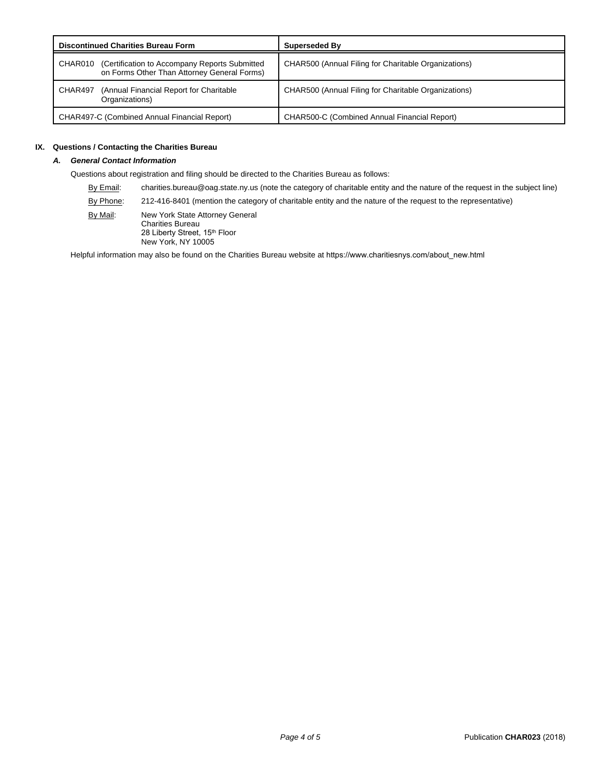| <b>Discontinued Charities Bureau Form</b>                                                                | <b>Superseded By</b>                                 |
|----------------------------------------------------------------------------------------------------------|------------------------------------------------------|
| (Certification to Accompany Reports Submitted)<br>CHAR010<br>on Forms Other Than Attorney General Forms) | CHAR500 (Annual Filing for Charitable Organizations) |
| (Annual Financial Report for Charitable)<br>CHAR497<br>Organizations)                                    | CHAR500 (Annual Filing for Charitable Organizations) |
| CHAR497-C (Combined Annual Financial Report)                                                             | CHAR500-C (Combined Annual Financial Report)         |

## **IX. Questions / Contacting the Charities Bureau**

# *A. General Contact Information*

Questions about registration and filing should be directed to the Charities Bureau as follows:

By Email: charities.bureau@oag.state.ny.us (note the category of charitable entity and the nature of the request in the subject line)

By Phone: 212-416-8401 (mention the category of charitable entity and the nature of the request to the representative)

By Mail: New York State Attorney General Charities Bureau 28 Liberty Street, 15<sup>th</sup> Floor New York, NY 10005

Helpful information may also be found on the Charities Bureau website at [https://www.charitiesnys.com/about\\_new.html](http://www.oag.state.ny.us/bureaus/charities/about.html)